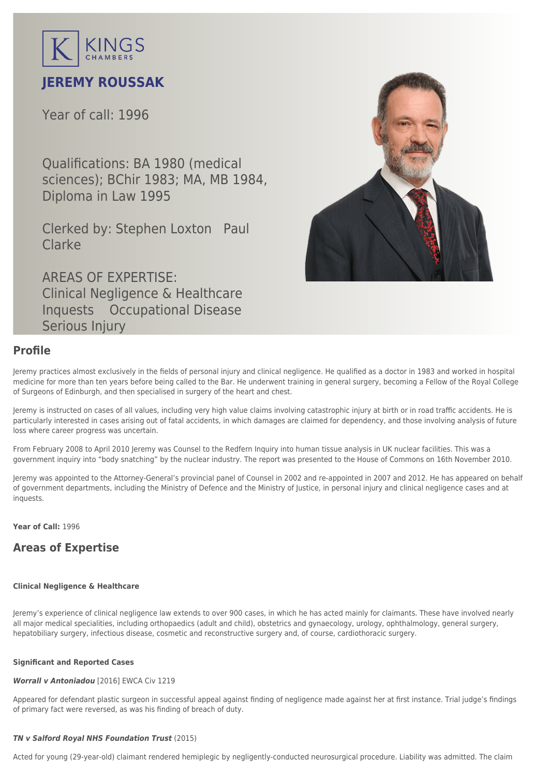

# **JEREMY ROUSSAK**

Year of call: 1996

Qualifications: BA 1980 (medical sciences); BChir 1983; MA, MB 1984, Diploma in Law 1995

Clerked by: [Stephen Loxton](mailto:sloxton@kingschambers.com) [Paul](mailto:pclarke@kingschambers.com) [Clarke](mailto:pclarke@kingschambers.com)

AREAS OF EXPERTISE: Clinical Negligence & Healthcare Inquests Occupational Disease Serious Injury

## **Profile**

Jeremy practices almost exclusively in the fields of [personal injury and clinical negligence](https://www.kingschambers.com/connectors/areas-of-expertise/personal-injury-and-clinical-negligence-team/clinical-negligence-and-healthcare/). He qualified as a doctor in 1983 and worked in hospital medicine for more than ten years before being called to the Bar. He underwent training in general surgery, becoming a Fellow of the Royal College of Surgeons of Edinburgh, and then specialised in surgery of the heart and chest.

Jeremy is instructed on cases of all values, including very high value claims involving catastrophic injury at birth or in road traffic accidents. He is particularly interested in cases arising out of fatal accidents, in which damages are claimed for dependency, and those involving analysis of future loss where career progress was uncertain.

From February 2008 to April 2010 Jeremy was Counsel to the Redfern Inquiry into human tissue analysis in UK nuclear facilities. This was a government inquiry into "body snatching" by the nuclear industry. The report was presented to the House of Commons on 16th November 2010.

Jeremy was appointed to the Attorney-General's provincial panel of Counsel in 2002 and re-appointed in 2007 and 2012. He has appeared on behalf of government departments, including the Ministry of Defence and the Ministry of Justice, in personal injury and clinical negligence cases and at inquests.

**Year of Call:** 1996

## **Areas of Expertise**

## **[Clinical Negligence & Healthcare](#page--1-0)**

Jeremy's experience of clinical negligence law extends to over 900 cases, in which he has acted mainly for claimants. These have involved nearly all major medical specialities, including orthopaedics (adult and child), obstetrics and gynaecology, urology, ophthalmology, general surgery, hepatobiliary surgery, infectious disease, cosmetic and reconstructive surgery and, of course, cardiothoracic surgery.

## **Significant and Reported Cases**

## *[Worrall v Antoniadou](https://www.kingschambers.com/connectors/news/2016/12/06/jeremy-roussak-successful-in-court-of-appeal/)* [2016] EWCA Civ 1219

Appeared for defendant plastic surgeon in successful appeal against finding of negligence made against her at first instance. Trial judge's findings of primary fact were reversed, as was his finding of breach of duty.

## *TN v Salford Royal NHS Foundation Trust* (2015)

Acted for young (29-year-old) claimant rendered hemiplegic by negligently-conducted neurosurgical procedure. Liability was admitted. The claim

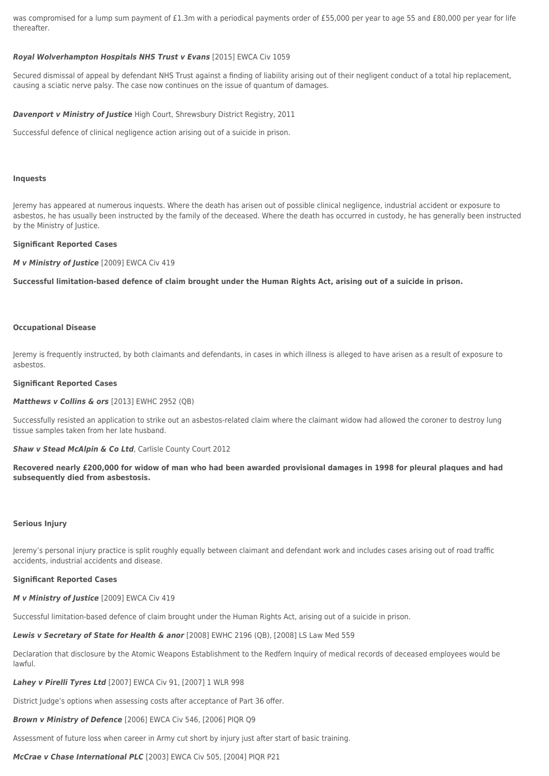was compromised for a lump sum payment of £1.3m with a periodical payments order of £55,000 per year to age 55 and £80,000 per year for life thereafter.

## *Royal Wolverhampton Hospitals NHS Trust v Evans* [2015] EWCA Civ 1059

Secured dismissal of appeal by defendant NHS Trust against a finding of liability arising out of their negligent conduct of a total hip replacement, causing a sciatic nerve palsy. The case now continues on the issue of quantum of damages.

### *Davenport v Ministry of Justice* High Court, Shrewsbury District Registry, 2011

Successful defence of clinical negligence action arising out of a suicide in prison.

## **[Inquests](#page--1-0)**

Jeremy has appeared at numerous inquests. Where the death has arisen out of possible clinical negligence, industrial accident or exposure to asbestos, he has usually been instructed by the family of the deceased. Where the death has occurred in custody, he has generally been instructed by the Ministry of Justice.

#### **Significant Reported Cases**

*M v Ministry of Justice* [2009] EWCA Civ 419

**Successful limitation-based defence of claim brought under the Human Rights Act, arising out of a suicide in prison.**

#### **[Occupational Disease](#page--1-0)**

Jeremy is frequently instructed, by both claimants and defendants, in cases in which illness is alleged to have arisen as a result of exposure to asbestos.

#### **Significant Reported Cases**

#### *Matthews v Collins & ors* [2013] EWHC 2952 (QB)

Successfully resisted an application to strike out an asbestos-related claim where the claimant widow had allowed the coroner to destroy lung tissue samples taken from her late husband.

## **Shaw v Stead McAlpin & Co Ltd**, Carlisle County Court 2012

**Recovered nearly £200,000 for widow of man who had been awarded provisional damages in 1998 for pleural plaques and had subsequently died from asbestosis.**

#### **[Serious Injury](#page--1-0)**

Jeremy's personal injury practice is split roughly equally between claimant and defendant work and includes cases arising out of road traffic accidents, industrial accidents and disease.

## **Significant Reported Cases**

#### *M v Ministry of Justice* [2009] EWCA Civ 419

Successful limitation-based defence of claim brought under the Human Rights Act, arising out of a suicide in prison.

Lewis v Secretary of State for Health & anor [2008] EWHC 2196 (QB), [2008] LS Law Med 559

Declaration that disclosure by the Atomic Weapons Establishment to the Redfern Inquiry of medical records of deceased employees would be lawful.

*Lahey v Pirelli Tyres Ltd* [2007] EWCA Civ 91, [2007] 1 WLR 998

District Judge's options when assessing costs after acceptance of Part 36 offer.

*Brown v Ministry of Defence* [2006] EWCA Civ 546, [2006] PIQR Q9

Assessment of future loss when career in Army cut short by injury just after start of basic training.

*McCrae v Chase International PLC* [2003] EWCA Civ 505, [2004] PIQR P21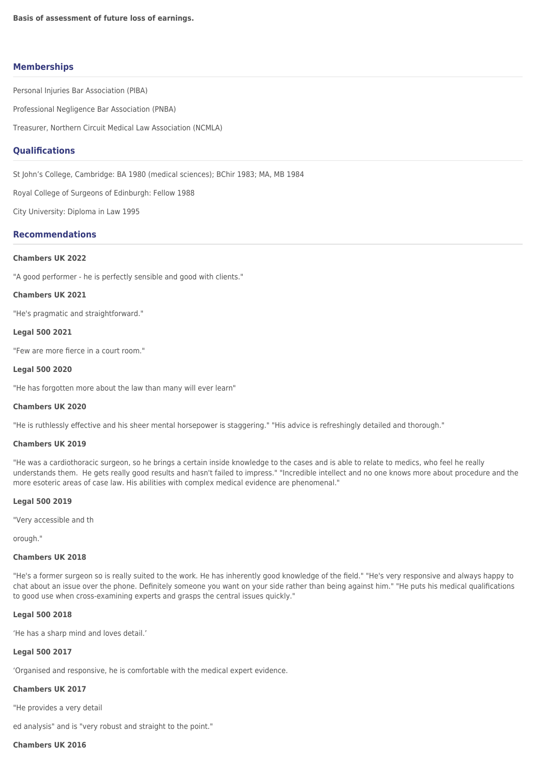## **Memberships**

Personal Injuries Bar Association (PIBA)

Professional Negligence Bar Association (PNBA)

Treasurer, Northern Circuit Medical Law Association (NCMLA)

## **Qualifications**

St John's College, Cambridge: BA 1980 (medical sciences); BChir 1983; MA, MB 1984

Royal College of Surgeons of Edinburgh: Fellow 1988

City University: Diploma in Law 1995

## **Recommendations**

## **Chambers UK 2022**

"A good performer - he is perfectly sensible and good with clients."

#### **Chambers UK 2021**

"He's pragmatic and straightforward."

### **Legal 500 2021**

"Few are more fierce in a court room."

## **Legal 500 2020**

"He has forgotten more about the law than many will ever learn"

### **Chambers UK 2020**

"He is ruthlessly effective and his sheer mental horsepower is staggering." "His advice is refreshingly detailed and thorough."

## **Chambers UK 2019**

"He was a cardiothoracic surgeon, so he brings a certain inside knowledge to the cases and is able to relate to medics, who feel he really understands them. He gets really good results and hasn't failed to impress." "Incredible intellect and no one knows more about procedure and the more esoteric areas of case law. His abilities with complex medical evidence are phenomenal."

## **Legal 500 2019**

"Very accessible and th

orough."

## **Chambers UK 2018**

"He's a former surgeon so is really suited to the work. He has inherently good knowledge of the field." "He's very responsive and always happy to chat about an issue over the phone. Definitely someone you want on your side rather than being against him." "He puts his medical qualifications to good use when cross-examining experts and grasps the central issues quickly."

### **Legal 500 2018**

'He has a sharp mind and loves detail.'

## **Legal 500 2017**

'Organised and responsive, he is comfortable with the medical expert evidence.

## **Chambers UK 2017**

"He provides a very detail

ed analysis" and is "very robust and straight to the point."

## **Chambers UK 2016**